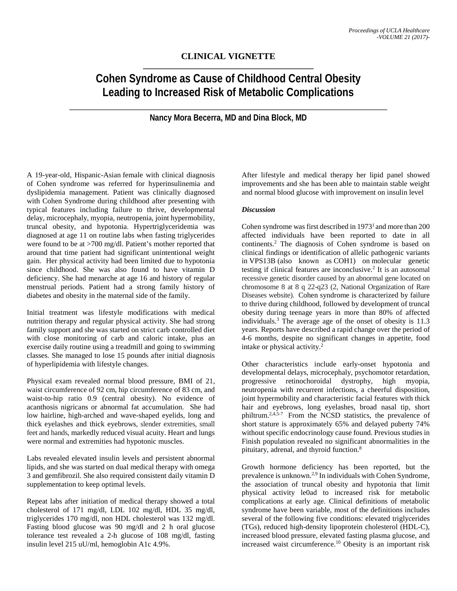## **CLINICAL VIGNETTE**

## **Cohen Syndrome as Cause of Childhood Central Obesity Leading to Increased Risk of Metabolic Complications**

**Nancy Mora Becerra, MD and Dina Block, MD**

A 19-year-old, Hispanic-Asian female with clinical diagnosis of Cohen syndrome was referred for hyperinsulinemia and dyslipidemia management. Patient was clinically diagnosed with Cohen Syndrome during childhood after presenting with typical features including failure to thrive, developmental delay, microcephaly, myopia, neutropenia, joint hypermobility, truncal obesity, and hypotonia. Hypertriglyceridemia was diagnosed at age 11 on routine labs when fasting triglycerides were found to be at >700 mg/dl. Patient's mother reported that around that time patient had significant unintentional weight gain. Her physical activity had been limited due to hypotonia since childhood. She was also found to have vitamin D deficiency. She had menarche at age 16 and history of regular menstrual periods. Patient had a strong family history of diabetes and obesity in the maternal side of the family.

Initial treatment was lifestyle modifications with medical nutrition therapy and regular physical activity. She had strong family support and she was started on strict carb controlled diet with close monitoring of carb and caloric intake, plus an exercise daily routine using a treadmill and going to swimming classes. She managed to lose 15 pounds after initial diagnosis of hyperlipidemia with lifestyle changes.

Physical exam revealed normal blood pressure, BMI of 21, waist circumference of 92 cm, hip circumference of 83 cm, and waist-to-hip ratio 0.9 (central obesity). No evidence of acanthosis nigricans or abnormal fat accumulation. She had low hairline, high-arched and wave-shaped eyelids, long and thick eyelashes and thick eyebrows, slender extremities, small feet and hands, markedly reduced visual acuity. Heart and lungs were normal and extremities had hypotonic muscles.

Labs revealed elevated insulin levels and persistent abnormal lipids, and she was started on dual medical therapy with omega 3 and gemfibrozil. She also required consistent daily vitamin D supplementation to keep optimal levels.

Repeat labs after initiation of medical therapy showed a total cholesterol of 171 mg/dl, LDL 102 mg/dl, HDL 35 mg/dl, triglycerides 170 mg/dl, non HDL cholesterol was 132 mg/dl. Fasting blood glucose was 90 mg/dl and 2 h oral glucose tolerance test revealed a 2-h glucose of 108 mg/dl, fasting insulin level 215 uU/ml, hemoglobin A1c 4.9%.

After lifestyle and medical therapy her lipid panel showed improvements and she has been able to maintain stable weight and normal blood glucose with improvement on insulin level

## *Discussion*

Cohen syndrome was first described in 1973<sup>1</sup> and more than 200 affected individuals have been reported to date in all continents. <sup>2</sup> The diagnosis of Cohen syndrome is based on clinical findings or identification of allelic pathogenic variants in VPS13B (also known as COH1) on molecular genetic testing if clinical features are inconclusive. <sup>2</sup> It is an autosomal recessive genetic disorder caused by an abnormal gene located on chromosome 8 at 8 q 22-q23 (2, National Organization of Rare Diseases website). Cohen syndrome is characterized by failure to thrive during childhood, followed by development of truncal obesity during teenage years in more than 80% of affected individuals. <sup>3</sup> The average age of the onset of obesity is 11.3 years. Reports have described a rapid change over the period of 4-6 months, despite no significant changes in appetite, food intake or physical activity. 2

Other characteristics include early-onset hypotonia and developmental delays, microcephaly, psychomotor retardation, progressive retinochoroidal dystrophy, high myopia, progressive retinochoroidal dystrophy, high myopia, neutropenia with recurrent infections, a cheerful disposition, joint hypermobility and characteristic facial features with thick hair and eyebrows, long eyelashes, broad nasal tip, short philtrum.<sup>2,4,5-7</sup> From the NCSD statistics, the prevalence of short stature is approximately 65% and delayed puberty 74% without specific endocrinology cause found. Previous studies in Finish population revealed no significant abnormalities in the pituitary, adrenal, and thyroid function. 8

Growth hormone deficiency has been reported, but the prevalence is unknown.<sup>2,9</sup> In individuals with Cohen Syndrome, the association of truncal obesity and hypotonia that limit physical activity le0ad to increased risk for metabolic complications at early age. Clinical definitions of metabolic syndrome have been variable, most of the definitions includes several of the following five conditions: elevated triglycerides (TGs), reduced high-density lipoprotein cholesterol (HDL-C), increased blood pressure, elevated fasting plasma glucose, and increased waist circumference. <sup>10</sup> Obesity is an important risk